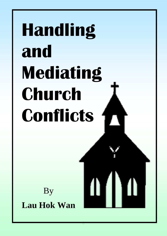# **Handling and Mediating Church Conflicts**

By **Lau Hok Wan**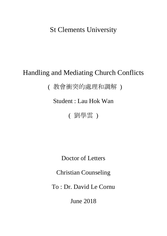# St Clements University

# Handling and Mediating Church Conflicts

( 教會衝突的處理和調解 )

Student : Lau Hok Wan

( 劉學雲 )

Doctor of Letters

Christian Counseling

To : Dr. David Le Cornu

June 2018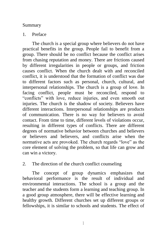#### Summary

#### 1. Preface

The church is a special group where believers do not have practical benefits in the group. People fail to benefit from a group. There should be no conflict because the conflict arises from chasing reputation and money. There are frictions caused by different irregularities in people or groups, and friction causes conflict. When the church dealt with and reconciled conflict, it is understood that the formation of conflict was due to different factors such as personal, church, cultural, and interpersonal relationships. The church is a group of love. In facing conflict, people must be reconciled, respond to "conflicts" with love, reduce injuries, and even smooth out injuries. The church is the shadow of society. Believers have different interactions. Interpersonal relationships are products of communication. There is no way for believers to avoid contact. From time to time, different levels of violations occur, resulting in different types of conflicts. There are different degrees of normative behavior between churches and believers or believers and believers, and conflicts arise when the normative acts are provoked. The church regards "love" as the core element of solving the problem, so that life can grow and can win a victory.

# 2. The direction of the church conflict counseling

The concept of group dynamics emphasizes that behavioral performance is the result of individual and environmental interactions. The school is a group and the teacher and the students form a learning and teaching group. In a good group atmosphere, there will be effective learning and healthy growth. Different churches set up different groups or fellowships, it is similar to schools and students. The effect of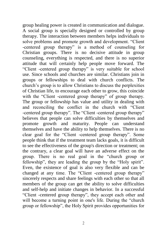group healing power is created in communication and dialogue. A social group is specially designed or controlled by group therapy. The interaction between members helps individuals to solve problems and promote growth and development. "Client -centered group therapy" is a method of counseling for Christian groups. There is no decisive attitude in group counseling, everything is respected, and there is no superior attitude that will certainly help people move forward. The "Client -centered group therapy" is very suitable for school use. Since schools and churches are similar. Christians join in groups or fellowships to deal with church conflicts. The church's group is to allow Christians to discuss the perplexities of Christian life, to encourage each other to grow, this coincide with the "Client -centered group therapy" of group therapy. The group or fellowship has value and utility in dealing with and reconciling the conflict in the church with "Client -centered group therapy". The "Client -centered group therapy" believes that people can solve difficulties by themselves and promote growth and maturity. People can understand themselves and have the ability to help themselves. There is no clear goal for the "Client -centered group therapy". Some people think that if the treatment team lacks goals, it is difficult to see the effectiveness of the group's direction or treatment; on the contrary, a clear goal will have an adverse effect on the group. There is no real goal in the "church group or fellowship", they are leading the group by the "Holy spirit". Even, the existence of goal is also very flexible and can be changed at any time. The "Client -centered group therapy" sincerely respects and share feelings with each other so that all members of the group can get the ability to solve difficulties and self-help and initiate changes in behavior. In a successful "Client -centered group therapy", they accept each other and will become a turning point in one's life. During the "church" group or fellowship", the Holy Spirit provides opportunities for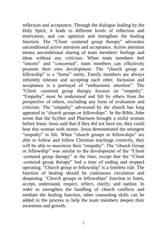reflection and acceptance. Through the dialogue leading by the Holy Spirit, it leads to different levels of reflection and motivation, and can optimize and strengthen the healing function. The "Client -centered group therapy" advocates unconditional active attention and acceptance. Active attention means unconditional sharing of team members' feelings and ideas without any criticism. When team members feel "sincere" and "concerned", team members can effectively promote their own development. The "church group or fellowship" is a "home" entity. Family members are always infinitely tolerant and accepting each other. Inclusion and acceptance is a portrayal of "enthusiastic attention". The "Client -centered group therapy focuses on "empathy". "Empathy" must be understood and felt by others from the perspective of others, excluding any form of evaluation and criticism. The "empathy" advocated by the church has long appeared in "church groups or fellowships". In the Bible, John wrote that the Scribes and Pharisees brought a sinful woman before Jesus. Jesus said that if they did not have sin, they could beat this woman with stones. Jesus demonstrated the strongest "empathy" in life. When "church groups or fellowships" are able to follow and follow Christian teachings correctly, they will be able to maximize their "empathy". The "church Group or fellowship" was similar to the development of the "Client -centered group therapy" at the time, except that the "Client -centered group therapy" had a time of ending and stopped operating. "Church group or fellowship" is a timeless rule. The function of healing should be continuous circulation and deepening. "Church groups or fellowships" function to listen, accept, understand, respect, reflect, clarify, and outline. In order to strengthen the handling of church conflicts and mediate the healing function, other counseling skills can be added to the process to help the team members deepen their awareness and growth.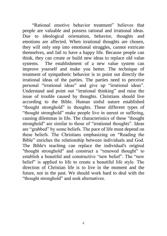"Rational emotive behavior treatment" believes that people are valuable and possess rational and irrational ideas. Due to ideological orientation, behavior, thoughts and emotions are affected. When irrational thoughts are chosen, they will only step into emotional struggles, cannot extricate themselves, and fail to have a happy life. Because people can think, they can create or build new ideas to replace old value systems. The establishment of a new value system can improve yourself and make you better. The technique of treatment of sympathetic behavior is to point out directly the irrational ideas of the parties. The parties need to perceive personal "irrational ideas" and give up "irrational ideas". Understand and point out "irrational thinking" and raise the issue of trouble caused by thoughts. Christians should live according to the Bible. Human sinful nature established "thought stronghold" in thoughts. These different types of "thought stronghold" make people live in unrest or suffering, causing dilemmas in life. The characteristics of these "thought stronghold" are similar to those of "irrational thoughts". Ideas are "grabbed" by some beliefs. The pace of life must depend on these beliefs. The Christians emphasizing on "Reading the Bible" enriches the relationship between individuals and God. The Bible's teaching can replace the individual's original "thought stronghold" and construct a "renewed thought" to establish a beautiful and constructive "new belief". The "new belief" is applied to life to create a beautiful life style. The direction of Christian life is to live in the moment and the future, not in the past. We should work hard to deal with the "thought stronghold" and seek alternatives.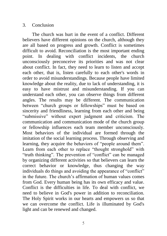#### 3. Conclusion

The church was hurt in the event of a conflict. Different believers have different opinions on the church, although they are all based on progress and growth. Conflict is sometimes difficult to avoid. Reconciliation is the most important ending point. In dealing with conflict incidents, the church unconsciously preconceive its priorities and was not clear about conflict. In fact, they need to learn to listen and accept each other, that is, listen carefully to each other's words in order to avoid misunderstandings. Because people have limited knowledge about the reality, due to lack of understanding, it is easy to have mistrust and misunderstanding. If you can understand each other, you can observe things from different angles. The results may be different. The communication between "church groups or fellowships" must be based on sincerity and friendliness, learning from each other and being "submissive" without expert judgment and criticism. The communication and communication mode of the church group or fellowship influences each team member unconsciously. Most behaviors of the individual are formed through the imitation of the social learning process. Through observing and learning, they acquire the behaviors of "people around them". Learn from each other to replace "thought stronghold" with "truth thinking". The prevention of "conflict" can be managed by organizing different activities so that believers can learn the correct behavior or knowledge, thus changing the way individuals do things and avoiding the appearance of "conflict" in the future. The church's affirmation of human values comes from God. Every human being has its own efficacy and value. Conflict is the difficulties in life. To deal with conflict, we need to believe in God's power in addition to reconciliation. The Holy Spirit works in our hearts and empowers us so that we can overcome the conflict. Life is illuminated by God's light and can be renewed and changed.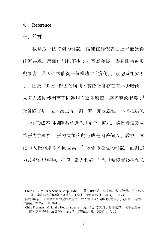#### 4. Reference

# 一、前言

 $\overline{a}$ 

教會是一個特別的群體,信徒在群體表面上未能獲得 任何益處,反而付出也不少;如奉獻金錢、委身服待或參 與聚會;若人們未能從一個群體中「獲利」, 就應該相安無 事, 因為 「衝突」皆因名與利;實際教會存在有不少暗湧; 人與人或團體因著不同違規而產生磨擦, 磨擦導致衝突: 教會除了以「愛」為主導,對「罪」亦要處理;不同程度的 「罪」形成不同攔阻教會進入「完全」模式,嚴重者演變成 為張力或衝突;張力或衝突的形成是因著個人、教會、文 化和人際關系等不同因素;2 教會乃是愛的群體, 面對張 力或衝突出現時,必須「勸人和好」<sup>3</sup> 和「積極實踐復和公

<sup>1</sup> Chirs FREEMAN & Sandra Koop HARDER 著。黃成榮、李文輝、曾淑儀譯。《平息風 暴:復和調解的理念及實務》。(香港:突破出版社,2004) ,頁 24。

<sup>2</sup>邱清萍編著。《教會衝突的處理和重建:成人主日學/小組研討材料》。(美國:美國中 信書室,2005) ,頁 10-11。

<sup>3</sup> Chirs Freeman & Sandra Koop harder 著。黃成榮、李文輝、曾淑儀譯。《平息風暴: 復和調解的理念及實務》。(香港:突破出版社,2004) ,頁 10。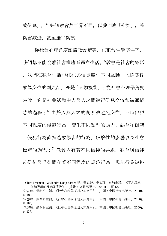義信息」, 4 好讓教會與世界不同, 以愛回應「衝突」, 將 傷害減退,甚至撫平傷痕。

從社會心理角度認識教會衝突,在正常生活條件下, 我們都不能脫離社會群體而獨立生活。<sup>5</sup>教會是社會的縮影 ,我們在教會生活中往往與信徒產生不同互動,人際關係 成為交往的副產品,亦是「人類機能」;從社會心理學角度 來說,它是社會活動中人與人之間進行信息交流和溝通情 感的過程;<sup>6</sup> 由於人與人之的間無法避免交往,不時出現 不同程度的侵犯行為,產生不同類型的張力、誤會和衝突 ;侵犯行為直指造成傷害的行為,破壞性的影響以及社會 標準的溫程;<sup>7</sup> 教會內有著不同信徒的共虛, 教會與信徒 或信徒與信徒間存著不同程度的規范行為,規范行為被挑

 $\overline{a}$ 

<sup>4</sup> Chirs Freeman & Sandra Koop harder 著。黃成榮、李文輝、曾淑儀譯。《平息風暴: 復和調解的理念及實務》。(香港: 突破出版社, 2004), 頁 12。

<sup>5</sup>朱啟臻、張春明主編。《社會心理學原則及其應用》。(中國:中國社會出版社,2000), 頁 183。

<sup>6</sup>朱啟臻、張春明主編。《社會心理學原則及其應用》。(中國:中國社會出版社,2000), 頁 184。

<sup>7</sup>朱啟臻、張春明主編。《社會心理學原則及其應用》。(中國:中國社會出版社,2000), 頁 137。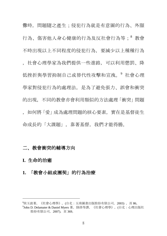釁時,問題隨之產生;侵犯行為就是有意圖的行為、外顯 行為、傷害他人身心健康的行為及反社會行為等;8 教會 不時出現以上不同程度的侵犯行為,要減少以上種種行為 ,社會心理學家為我們提供一些進路,可以利用懲罰、降 低挫折與學習抑制自己或替代性攻擊和宣洩。<sup>9</sup> 社會心理 學家對侵犯行為的處理法,是為了避免張力、誤會和衝突 的出現,不同的教會亦會利用類似的方法處理「衝突」問題 ,如何將「愛」成為處理問題的核心要素,實在是基督徒生 命成長的「大課題」,靠著基督,我們才能得勝。

### 二、教會衝突的輔導方向

#### **I.** 生命的治癒

 $\overline{a}$ 

# **1.** 「教會小組或團契」的行為治療

<sup>8</sup>侯玉波著。《社會心理學》。(台北:五南圖書出版股份有限公司,2003) ,頁 86。

 $^9$ John D. Delamater & Daniel Myers 著。陸洛等譯。《社會心理學》。(台北:心理出版社 股份有限公司,2007),頁 369。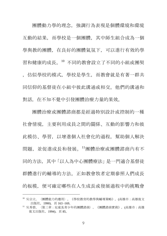團體動力學的理念,強調行為表現是個體環境和環境 互動的結果,而學校是一個團體,其中師生組合成為一個 學與教的團體,在良好的團體氣氛下,可以進行有效的學 習和健康的成長。<sup>10</sup> 不同的教會設立了不同的小組或團契

,仿似學校的模式,學校是學生,而教會就是有著一群共 同信仰的基督徒在小組中彼此溝通或相交。他們的溝通和 對話,在不知不覺中引發團體治療力量的果效。

團體治療或團體諮商都是經過特別設計或控制的一種 社會情境,主要利用成員之間的關係、互動的影響力和彼 此模仿、學習,以增進個人社會化的過程,幫助個人解決 問題,並促進成長和發展。<sup>11</sup>團體治療或團體諮商內有不 同的方法,其中「以人為中心團體療法」是一門適合基督徒 群體進行的輔導的方法。正如教會牧者定期參照人們成長 的板模,便可確定哪些在人生成長或發展過程中的挑戰會

<sup>10</sup> 吳宗立。〈團體能力的應用〉。《學校教育的教學與輔導策略》。(高雄市:高雄復文 出版社,1990),頁 163 -169。

<sup>11</sup> 吳秀碧。〈第三章:兒童及青少年的團體諮商〉。《團體諮商實務》。(高雄市:高雄 復文出版社,1994),頁 85。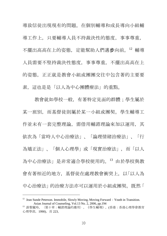導致信徒出現現有的問題。在個別輔導和成長導向小組輔 導工作上,只要輔導人員不持裁決性的態度,事事尊重, 不擺出高高在上的姿態,定能幫助人們邁步向前。<sup>12</sup> 輔導 人員需要不堅持裁決性態度,事事尊重,不擺出高高在上 的姿態,正正就是教會小組或團團交往中包含著的主要要 素, 這也是是「以人為中心團體療法」的重點。

教會就如學校一般,有著特定見面的群體;學生屬於 某一班別,而基督徒則屬於某一小組或團契。學生輔導工 作並未有一套完整理論,需借用輔諮理論來加以運用,其 依次為「當時人中心治療法」、「論理情緒治療法」、「行 為矯正法」、「個人心理學」或「現實治療法」,而「以人 為中心治療法」是非常適合學校使用的。<sup>13</sup> 由於學校與教 會有著相近的地方, 基督徒在處理教會衝突上, 以「以人為 中心治療法」的治療方法亦可以運用於小組或團契。既然「

 $\overline{a}$ 

<sup>&</sup>lt;sup>12</sup> Jean Sunde Peterson. Immobile, Slowly Moving, Moving Forward: Youth in Transition. Asian Journal of Counseling, Vol.13 No. 2, 2006, pp.194

<sup>13</sup> 游黎麗玲。〈第十章:輔諮理論的應用〉。《學生輔導》。(香港:香港心理學會教育 心理學部,1990),頁 223。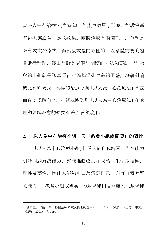當時人中心治療法」對輔導工作產生效用;那麼,對教會基 督徒也應產生一定的效果。團體治療有兩個取向,分別是 教導式或治療式;而治療式是開放性的,以羣體需要的題 目進行討論,經由討論發覺解決問題的方法和要訣。<sup>14</sup> 教 會的小組就是讓基督徒討論基督徒生命的困惑,藉著討論 彼此勉勵成長, 與團體治療取向「以人為中心治療法」不謀 而合;總括而言,小組或團契以「以人為中心治療法」在處 理和調解教會的衝突有著價值和效用。

#### **2.** 「以人為中心治療小組」與「教會小組或團契」的對比

「以人為中心治療小組」相信人能自我解困,內在能力 引發問題解決能力,亦能推動成長和成熟,生命是積極、 理性及羣性,因此人能夠明白及清楚自己,亦有自我輔導 的能力。「教會小組或團契」的基督徒相信聖靈入往基督徒

<sup>14</sup> 曾文星。〈第十章:各種治療模式與機理的運用〉。《青少年心理》。(香港:中文大 學出版,2001),頁 119。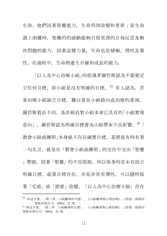生命,他們因著聖靈能力,生命得到改變和更新;當生命 遇上困難時,聖靈的的感動能夠引發更深的自我反思及解 決問題的能力,因著這種力量,生命也是積極、理性及羣 性,在過程中,生命將產生自癒和成長的能力。

「以人為中心治療小組」的倡導者羅哲斯認為不需要定 立任何目標, 即小組是沒有明確的目標。15 有人認為, 若 果治療小組缺乏目標,難以看見小組路向或治療的果效, 羅哲斯看法不同。基於組員對小組本身已具有的「小組實現 意向」,羅哲斯認為明確目標會為小組帶來不良影響。<sup>16</sup>「 教會小組或團契」本身就不存在確實目標,基督徒有時有著 一句名言,就是在「教會小組或團契」的交往中交由「聖靈 」帶領,因著「聖靈」的不受限制,所以很多時並未有設立 明確目標,就算目標存在,亦是非常有彈性,可以隨時按 著「受感」或「需要」改變。「以人為中心治療小組」存在  $\overline{a}$ 

<sup>15</sup> 林孟平著。〈第三章:小組輔導的目標〉。《小組輔導與心理治療》。(香港:商務印 書館有限公司,1993),頁 78。 <sup>16</sup> 林孟平著。〈第三章:小組輔導的目標〉。《小組輔導與心理治療》。(香港:商務印 書館有限公司,1993),頁 78。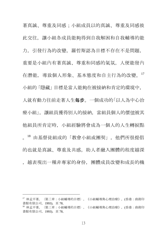著真誠、尊重及同感;小組成員以的真誠、尊重及同感彼 此交往,讓小組各成員能夠得到自我解困和自我輔導的能 力,引發行為的改變。羅哲斯認為目標不存在不是問題, 重要是小組內有著真誠、尊重和同感的氣氛,人便能發內 在潛能,導致個人形象、基本態度和自主行為的改變。<sup>17</sup> 小組的「隱藏」目標是當人能夠在被接納和肯定的環境中, 人就有動力往前走著人生每步。一個成功的「以人為中心治 療小組」,讓組員獲得別人的接納,當組員個人的價值被其 他組員所肯定時,小組經驗將會成為一個人的人生轉捩點 。<sup>18</sup> 由基督徒組成的「教會小組或團契」,他們所很提倡 的也就是真誠、尊重及共感。助人者融入團體的程度越深 ,越表現出一種非專家的身份,團體成員改變和成長的機

 $\overline{a}$ 

<sup>17</sup> 林孟平著。〈第三章:小組輔導的目標〉。《小組輔導與心理治療》。(香港:商務印 書館有限公司,1993),頁 78。

<sup>18</sup> 林孟平著。〈第三章:小組輔導的目標〉。《小組輔導與心理治療》。(香港:商務印 書館有限公司,1993),頁 78。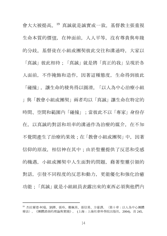會大大被提高。<sup>19</sup> 真誠就是誠實或一致。基督教主張重視 生命本質的價值,在神面前,人人平等,沒有尊貴與卑賤 的分歧。基督徒在小組或團契彼此交往和溝通時,大家以 「真誠」彼此相待;「真誠」就是將「真正的我」呈現於各 人面前,不作掩飾和造作,因著這種態度,生命得到彼此 「碰撞」, 讓生命的稜角得以圓滑。「以人為中心治療小組 」與「教會小組或團契」兩者均以「真誠」讓生命在特定的 時間、空間和範圍內「碰撞」;當彼此不以「專家」身份存 在,以真誠的對話和坦率的溝通作為治療的媒介,在不知 不覺間產生了治療的果效;在「教會小組或團契」中,因著 信仰的原故,相信神在其中;由於聖靈提供了反思和受感 的機遇,小組或團契中人生面對的問題,藉著聖靈引領的 對話,引發不同程度的反思和動力,更能優化和強化治癒 功能 : 「真誠」 就是小組組員表露出來的東西必須與他們內

<sup>19</sup> 杰拉爾德‧柯瑞。劉鐸、張玲、鄭佩英、張信勇、方豪譯。〈第十章:以人為中心團體 療法〉。《團體諮商的理論與實踐》。 (上海:上海社會科學院出版社,2004),頁 245。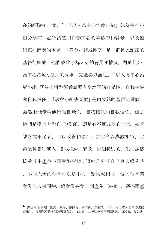在的經驗相一致。<sup>20</sup> 「以人為中心治療小組」認為在行小 組分享前,必須清楚明白參加者的年齡層和背景,以及他 們正在面對的困擾。「教會小組或團契」是一群彼此認識的 基督徒組成,他們彼此了解大家的背景和情況,對於「以人 為中心治療小組」的要求,完全得以滿足。「以人為中心治 療小組」認為小組帶領者需要有高水平的自覺性、自我接納 和自我信任;「教會小組或團契」是由成熟的基督徒帶領, 雖然未能量度他們的自覺性、自我接納和自我信任,但是 他們是獲得「信任」的委派,即是有不斷成長的空間,如若 缺乏或不足者,可以改善和增加。當生命以真誠相待,生 命便會自行進入「自我探索」階段,這個特別的,生命誠然 接受其中產生不同意識形態;這就是分享自己個人感受時 ,不同人士的分享可以是不同、類同或相同,個人分享感 受與他人相同時,感受與感受之間產生「碰撞」,磨擦而產

<sup>20</sup> 杰拉爾德‧柯瑞。劉鐸、張玲、鄭佩英、張信勇、方豪譯。〈第十章:以人為中心團體 療法〉。《團體諮商的理論與實踐》。 (上海:上海社會科學院出版社,2004),頁 245。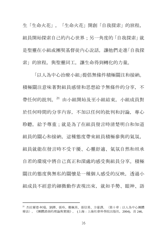生「生命火花」,「生命火花」開創「自我探索」的旅程, 組員開始探索自己的內心世界;另一角度的「自我探索」就 是聖靈在小組或團契基督徒內心說話,讓他們走進「自我探 索」的旅程, 與聖靈同工, 讓生命得到轉化的力量。

「以人為中心治療小組」提倡無條件積極關注和接納。 積極關注意味著對組員感情和思想給予無條件的分享,不 帶任何的批判。<sup>21</sup> 由小組開始及至小組結束,小組成員對 於任何時間的分享內容,不加以任何的批判和討論,專心 聆聽,給予尊重;就是為了在組員發言時清楚明白和知道 組員的關心和接納,這種態度帶來組員積極參與的氣氛, 組員就能在發言時不受干擾、心靈舒適、氣氛自然和坦承 自若的環境中將自己真正和深處的感受與組員分享。積極 關注的態度與無私的關懷是一種個人感受的反映, 诱過小 組成員不經意的細微動作表現出來,就如手勢、眼神、語

<sup>21</sup> 杰拉爾德‧柯瑞。劉鐸、張玲、鄭佩英、張信勇、方豪譯。〈第十章:以人為中心團體 療法〉。《團體諮商的理論與實踐》。 (上海:上海社會科學院出版社,2004),頁 246。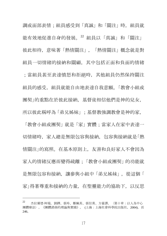調或面部表情;組員感受到「真誠」和「關注」時,組員就 能有效地促進自身的發展。<sup>22</sup> 組員以「真誠」和「關注」 彼此相待,意味著「熱情關注」,「熱情關注」概念就是對 組員一切情緒的接納和關顧,其中包括正面和負面的情緒 ;當組員甚至表達憤怒和拒絕時,其他組員仍然保持關注 組員的感受,組員就能自由地表達自我意願。「教會小組或 團契」的重點在於彼此接納,基督徒相信他們是神的兒女, 所以彼此稱呼為「弟兄姊妹」;基督教強調教會是神的家,

「教會小組或團契」就是「家」實體;當家人在家中表達一 切情緒時, 家人總是無限包容與接納, 包容與接納就是「熱 情關注」的寫照。在基本原則上,友善和良好家人不會因為 家人的情緒反應而變得疏離;「教會小組或團契」的功能就 是無限包容和接納,讓參與小組中「弟兄姊妹」,從這個「 家」得著尊重和接納的力量, 在聖靈能力的協助下, 以反思

<sup>22</sup> 杰拉爾德‧柯瑞。劉鐸、張玲、鄭佩英、張信勇、方豪譯。〈第十章:以人為中心 團體療法〉。《團體諮商的理論與實踐》。 (上海:上海社會科學院出版社,2004),頁 246。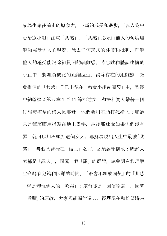成為生命往前走的原動力,不斷的成長和進步。「以人為中 心治療小組」注重「共感」,「共感」必須由他人的角度理 解和感受他人的現況,除去任何形式的評價和批判,理解 他人的感受能消除組員間的疏離感,將忠誠和體諒建構於 小組中,將組員彼此的距離拉近,消除存在的距離感。教 會提倡的「共感」早已出現在「教會小組或團契」中, 聖經 中約翰福音第八章 1 至 11 節記述文士和法利賽人帶著一個 行淫時被拿的婦人見耶穌,他們要用石頭打死婦人;耶穌 只是彎著腰用指頭在地上畫字,最後耶穌說如果他們沒有 罪, 就可以用石頭打這個女人。耶穌展現出人生中最強「共 感」,每個基督徒在「信主」之前,必須認罪悔改;既然大 家都是「罪人」,同屬一個「罪」的群體,總會明白和理解 生命總有犯錯和困難的時間,「教會小組或團契」的「共感 」就是體恤他人的「軟弱」;基督徒是「因信稱義」,因著 「救贖」的原故,大家都能面對過去、經歷現在和盼望將來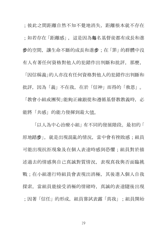;彼此之間距離自然不知不覺地消失,距離根本就不存在 ;如若存在「距離感」, 這是因為**每**名基督徒都有成長和進 步的空間,讓生命不斷的成長和進步;在「罪」的群體中沒 有人有著任何資格對他人的犯錯作出判斷和批評。那麼。

「因信稱義」的人亦沒有任何資格對他人的犯錯作出判斷和 批評,因為「義」不在我,在於「信神」而得的「救恩」。

「教會小組或團契」能夠正確跟從和導循基督教教義時, 必 能將「共感」的能力發揮到最大值。

「以人為中心治療小組」有不同的發展階段。最初的「 原地踏步」, 就是出現混亂的情況, 當中會有挫敗感; 組員 可能出現抗拒現象及在個人表達時感到恐懼;組員對於描 述過去的情感與自己真誠對質情況,表現真我與否面臨挑 戰;在小組進行時組員會表現出消極,其後進入個人自我 探索,當組員能接受消極的情緒時,真誠的表達隨後出現 ;因著「信任」的形成,組員嘗試表露「真我」;組員開始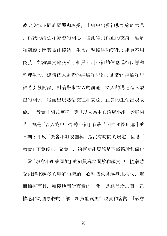彼此交流不同的經歷和感受,小組中出現初步治癒的力量 ,真誠的溝通和誠懇的關心,彼此得到真正的支持、理解 和關顧;因著彼此接納,生命出現接納和變化;組員不用 偽裝,能夠真實地交流;組員利用小組的信息進行反思和 整理生命, 建構個人嶄新的經驗和思維; 嶄新的經驗和思 維將引發討論,討論帶來深入的溝通,深入的溝通進入親 密的關係,繼而出現熱情交往和表達,組員的生命出現改 變。「教會小組或團契」與「以人為中心治療小組」發展相 若, 衹是「以人為中心治療小組」有著時間性和停止運作的 日期;相反「教會小組或團契」是沒有時間的規定,因著「 教會」不會停止「聚會」,治癒功能應該是不斷循環和深化 ;當「教會小組或團契」的組員處於開放和誠實中,隨著感 受到越來越多的理解和接納,心理防禦會逐漸地消失,進 而摘掉面具、積極地面對真實的自我;當組員增加對自己 情感和周圍事物的了解, 組員能夠更加現實和客觀;「教會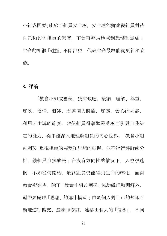小組或團契」能給予組員安全感,安全感能夠改變組員對待 自己和其他組員的態度,不會再輕易地感到恐懼和焦慮; 生命的相繼「碰撞」不斷出現,代表生命最終能夠更新和改 變。

#### **3.** 評論

「教會小組或團契」發揮傾聽、接納、理解、尊重、 反映、澄清、概述、表達個人體驗、反應、會心的功能, 利用非主導的節奏,碓信組員得著聖靈受感而引發自我決 定的能力,從中能深入地理解組員的內心世界。「教會小組 或團契」重視組員的感受和思想的掌握,並不進行評論或分 析, 讓組員自然成長; 在沒有方向性的情況下, 人會很迷 惘,不知從何開始,最終組員仍能得到生命的轉化。面對 教會衝突時,除了「教會小組或團契」協助處理和調解外, 還需要處理「思想」的運作模式;由於個人對自己的知識不 斷地進行擴充、提煉和修訂,建構出個人的「信念」,不同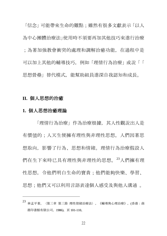「信念」可能帶來生命的難點;雖然有很多文獻表示「以人 為中心團體治療法」使用時不須要再加其他技巧來進行治療 ;為著加強教會衝突的處理和調解治癒功能,在過程中是 可以加上其他的輔導技巧,例如「理情行為治療」或說「「 思想營壘」替代模式,能幫助組員進深自我認知和成長。

#### **II.** 個人思想的治癒

#### **1.** 個人思想治癒理論

 $\overline{a}$ 

「理情行為治療」作為治療根據,其人性觀說出人是 有價值的;人天生便擁有理性與非理性思想。人們因著思 想取向,影響了行為、思想和情緒。理情行為治療假設人 們在生下來時已具有理性與非理性的思想。<sup>23</sup>人們擁有理 性思想,令他們明白生命的寶貴;他們能夠快樂、學習、 思想;他們又可以利用言語表達個人感受及與他人溝通 。

<sup>23</sup> 林孟平著。〈第三章 第三節 理性情緒治療法〉。《輔導與心理治療》。(香港:商 務印書館有限公司,1986),頁 101-110。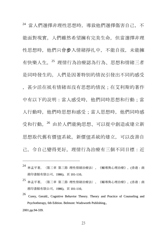<sup>24</sup> 當人們選擇非理性思想時,導致他們選擇傷害自己,不 能面對現實。人們雖然希望擁有完美生命,但當選擇非理 性思想時,他們只會步入情緒掙扎中,不能自拔,未能擁 有快樂人生。<sup>25</sup> 理情行為治療認為行為、思想和情緒三者 是同時發生的。人們是因著特別的情況引發出不同的感受 ,甚少活在祇有情緒而沒有思想的情況;在艾利斯的著作 中有以下的說明:當人感受時, 他們同時思想和行動;當 人行動時,他們時思想和感受;當人思想時,他們同時感 受和行動。<sup>26</sup> 由於人們能夠思想、可以從中創造或建立新 思想取代舊有價值系統。新價值系統的建立,可以改善自 己,令自己變得更好。理情行為治療有三個不同目標:近

- <sup>24</sup> 林孟平著。〈第三章 第三節 理性情緒治療法〉。《輔導與心理治療》。(香港:商 務印書館有限公司,1986),頁 101-110。
- <sup>25</sup> 林孟平著。〈第三章 第三節 理性情緒治療法〉。《輔導與心理治療》。(香港:商 務印書館有限公司,1986),頁 101-110。
- 26 Corey, Gerald., Cognitive Behavior Theory. Theory and Practice of Counseling and Psychotherapy, 6th Edition. Belmont: Wadsworth Publishing.,

2001.pp.94-339.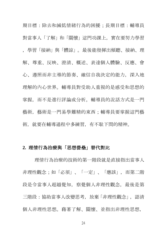期目標:除去和減低情緒行為的困擾;長期目標:輔導員 對當事人「了解」和「關懷」這門功課上,實在要努力學習 ,學習「接納」與「體諒」。最後能發揮出傾聽、接納、理 解、尊重、反映、澄清、概述、表達個人體驗、反應、會 心、遵照而非主導的節奏、確信自我決定的能力,深入地 理解的內心世界。輔導員對受助人重視的是感受和思想的 掌握,而不是進行評論或分析。輔導員的說話方式是一門 藝術,藝術是一門易學難精的東西;輔導員要掌握這門藝 術,就要在輔導過程中多練習,有不耻下問的精神。

#### **2.** 理情行為治療與「思想營壘」替代對比

理情行為治療的技術的第一階段就是直接指出當事人 非理性觀念;如「必須」、「一定」、「應該」,而第二階 段是令當事人超越覺知,察覺個人非理性觀念,最後是第 三階段:協助當事人改變思考,放棄「非理性觀念」,認清 個人非理性思想。藉著了解、關懷、並指出非理性思想,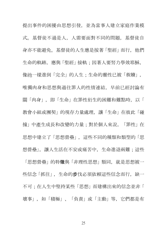提出事件的困擾由思想引發,並為當事人建立家庭作業模 式。基督徒不過是人,人需要面對不同的問題,基督徒自 身亦不能避免。基督徒的人生應是按著「聖經」而行,他們 生命的軌跡, 應與「聖經」接軌;因著人要努力學效耶穌, 像祂一樣進到「完全」的人生;生命的靈性已被「救贖」, 唯獨肉身和思想與過往罪人的性情連結,早前已經討論有 關「肉身」,即「生命」在罪性衍生的困難和難點時,以「 教會小組或團契」的現存力量處理,讓「生命」在彼此「碰 撞」中產生成長和改變的力量;對於個人來說,「罪性」在 思想中建立了「思想營壘」,這些不同的種類和類型的「思 想營壘」,讓人生活在不安或痛苦中,生命進退兩難;這些 「思想營壘」的特徵與「非理性思想」類同, 就是思想被一 些信念「抓往」,生命的步伐必須依賴這些信念而行,缺一 不可;在人生中堅持某些「思想」而建構出來的信念並非「

壞事」,如「積極」、「負責」或「主動」等,它們都是有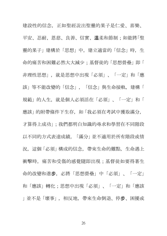建設性的信念,正如聖經說出聖靈的果子是仁愛、喜樂、 平安、忍耐、恩慈、良善、信實、溫柔和節制;如能將「聖 靈的果子」建構於「思想」中,建立適當的「信念」時,生 命的痛苦和困難必然大大減少;基督徒的「思想營壘」即「 非理性思想」,就是思想中出現「必須」、「一定」和「應 該」等不能改變的「信念」,「信念」與生命接軌,建構「 規範」的人生,就是個人必須活在「必須」、「一定」和「 應該」的附帶條件下生存,如「我必須在考試中獲取滿分, 才算得上成功」;我們都明白知識的尋求和學習在不同階段 以不同的方式表達成績,「滿分」並不適用於所有階段或情 況, 這個「必須」構成的信念, 帶來生命的難點, 生命遇上 衝擊時、痛苦和受傷的感覺隨即出現;基督徒如要得著生 命的改變和進步,必將「思想營壘」中「必須」、「一定」 和「應該」轉化;思想中出現「必須」、「一定」和「應該 」並不是「壞事」,相反地,帶來生命倒退、停步、困擾或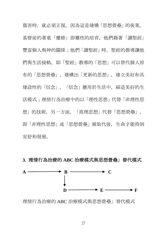傷害時, 就必須正視, 因為這是建構「思想營壘」的後果。 基督徒的著重「靈修」即靈性的培育,他們藉著「讀聖經」 豐富個人與神的關係;他們「讀聖經」時,聖經的教導讓他 們與生活接軌,即「聖經」教導的「思想」可以替代個人原 有的「思想營壘」,建構出「更新的思想」,建立美好和具 建設性的「信念」,「信念」應用於生活中,締造美好的生 活模式;理情行為治療中的以「理性思想」代替「非理性思 想」的技術,另一方面,「真理思想」代替「思想營壘」, 即「非理性思想」或「思想營壘」被取代後,生命才能得到 安舒和發展。

# **3.** 理情行為治療的 **ABC** 治療模式與思想營壘」替代模式



理情行為治療的 ABC 治療模式與思想營壘」替代模式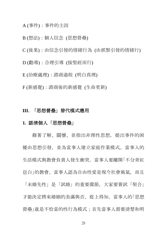#### A (事件):事件的主因

#### B (想法):個人信念 (思想營壘)

- C (後果):由信念引發的情緒行為 (由抓緊引發的情緒行)
- D (勸導):合理引導 (按聖經而行)
- E (治療處理):諮商過程 (明白真理)
- F (新感覺):諮商後的新感覺 (生命更新)

#### **III.** 「思想營壘」替代模式應用

#### **1.** 認清個人「思想營壘」

藉著了解、關懷、並指出非理性思想,提出事件的困 擾由思想引發,並為當事人建立家庭作業模式。當事人的 生活模式與教會負責人發生衝突,當事人要離開「不分青紅 皂白」的教會。當事人認為自由性愛是現今社會風氣,而且

「未婚先性」是「試婚」的重要環節,大家要嘗試「契合」 才能決定將來婚姻的美滿與否,從上得知,當事人的「思想 營壘」就是不恰當的性行為模式;首先當事人需要清楚和明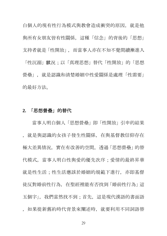白個人的現有性行為模式與教會造成衝突的原因,就是他 與所有女朋友皆有性關係,這種「信念」的背後的「思想」 支持者就是「性開放」,而當事人亦在不知不覺間續漸進入 「性沉溺」狀況:以「真理思想」 替代「性開放」的「思想

營壘」, 就是認識和清楚婚姻中性愛關係是處理「性需要」 的最好方法。

#### **2.** 「思想營壘」的替代

當事人明白個人「思想營壘」即「性開放」引申的結果 ,就是與認識的女孩子發生性關係,在與基督教信仰存在 極大差異情況,實在有改善的空間。透過「思想營壘」的替 代模式、當事人明白性與愛的優先次序;愛情的最終昇華 就是性生活;性生活應該於婚姻的規範下進行。亦即基督 徒反對婚前性行為,在聖經裡能有否找到「婚前性行為」這 五個字」,我們當然找不到;首先,這是現代漢語的書面語 ,如果從新舊約時代背景來闡述時,就要利用不同詞語替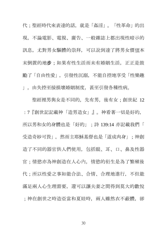代;聖經時代來表達的話,就是「姦淫」。「性革命」的出 現,不論電影、電視、廣告、一般雜誌上都出現性暗示的 訊息,尤對男女驅體的崇拜,可以說到達了將男女價值本 末倒置的地步;如果有性生活而未有婚姻生活,正正是鼓 勵了「自由性愛」,引發性沉溺,不能自控地享受「性樂趣 」,由失控至接損壞婚姻制度,甚至引發各種性病。

聖經裡男與女是不同的,先有男,後有女;創世紀 12 :7『創世記記載神「造男造女」』。神看著一切是好的, 所以男和女的身體也是「好的」;詩 139:14 亦記載我們「 受造奇妙可畏」,然而主耶穌基督也是「道成肉身」;神創 造了不同的器官供人們使用,包括眼、耳、口、鼻及性器 官;情慾亦為神創造在人心內,情慾的衍生是為了繁殖後 代;所以性愛之事如能合法、合情、合理地進行,不但能 滿足兩人心生理需要,還可以讓夫妻之間得到莫大的歡悅 ;神在創世之時造亞當和夏娃時,兩人雖然衣不蔽體,卻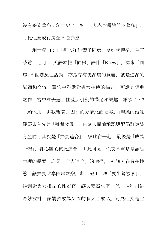沒有感到羞恥:創世紀 2:25「二人赤身露體並不羞恥」, 可見性愛或行房並不是罪惡。

創世紀 4:1「那人和他妻子同房, 夏娃就懷孕, 生了 該隱......。」;英譯本把「同房」譯作「Knew」,原來「同 房」不但涉及性活動,亦是存有更深層的意義,就是進深的 溝通和交流。舊約中雅歌對男女相戀的描述,可說是經典 之作,當中亦表達了性愛所引發的滿足和樂趣,雅歌 1:2

「願他用口與我親嘴,因你的愛情比酒更美。」聖經的婚姻 觀要素首先是「離開父母」:在眾人面前承認與配偶訂定終 身盟約;其次是「夫妻連合」, 彼此在一起;最後是「成為 一體」,身心靈的彼此連合。由此可見,性交不單是是滿足 生理的需要,亦是「全人連合」的途徑。 神讓人存有在性 飲, 讓夫妻共享閏房之樂。創世紀 1:28「要生養眾多」, 神創造男女相配的性器官, 讓夫妻產生下一代, 神利用這 奇妙設計, 讓嬰孩成為父母的個人合成品。可見性交是生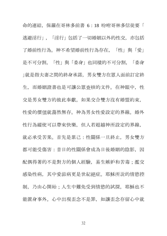命的連結,保羅在哥林多前書 6:18 吩咐哥林多信徒要「 逃避淫行」,「淫行」包括了一切婚姻以外的性交,亦包括 了婚前性行為。神不希望婚前性行為存在,「性」與「愛」 是不可分割,「性」與「委身」也同樣的不可分割,「委身 」就是指夫妻之間的終身承諾,男女雙方在眾人面前訂定終 生,而婚姻證書也是可讓公眾查核的文件。在神眼中,性 交是男女雙方的彼此奉獻。如果交合雙方沒有婚盟約束, 性愛的價值就蕩然無存。神為男女性愛設定的界線。婚外 性行為縱使可以帶來快樂,但人若超越神所設定的界線, 就必承受苦果。首先是累己:性關係一旦終止,男女雙方 都可能受傷害:昔日的性關係會成為日後婚姻的陰影, 因 配偶得著的不是對方的個人經驗,易生嫉妒和苦毒;濫交 感染性病,其中愛滋病更是世紀絕症。耶穌所說的情慾控 制,乃由心開始;人生中難免受到情慾的試探,耶穌也不 能置身事外。心中出現歪念不是罪,如讓歪念存留心中就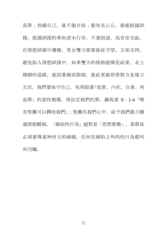是罪;放縱自己,就不能自拔;能攻克己心,就能抵擋試 探。抵擋試探的事如逆水行舟,不進則退,沒有安全區。 在情慾試探中獲勝,男女雙方需要彼此守望、互相支持, 避免陷入情慾試探中。如果雙方的情路能開花結果, 走上 婚姻的道路,就因著婚前節制,彼此更能珍惜對方及建立 互信。我們要保守自己,免得陷進「犯罪、內疚、自責、再 犯罪」的惡性循環。律法定我們的罪,羅馬書 8:1-4「唯 有聖靈可以釋放我們」;聖靈在我們心中,給予我們能力勝 過情慾轄制。「婚前性行為」絕對是「思想營壘」,基督徒 必須要尊重神所立的婚姻,任何在婚約之外的性行為都叫 床污穢。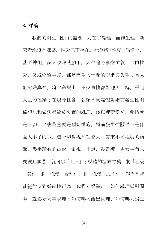#### **3.** 評論

我們的關注「性」的需要,乃在乎倫理,而非生理。新 天新地沒有嫁娶,性愛已不存在。社會將「性愛」偶像化, 甚至神化,讓人膜拜其腳下。人生追尋享樂主義、自由性 愛、又或物質主義,都是因為人世間的空虛與失望;當人 能認識真神,將生命擺上,不少事情都能迎刃而解,得到 人生的福樂;在現今社會,各類不同媒體對婚前發生性關 係想法和做法都流於失實的處理,多以理所當然、愛情就 是一切,又或最重要是預防操施,婚前發生性關係不是什 麼大不了的事,這一切對現今社會人士帶來不同程度的衝 擊。幾乎所有的電影、電視、小說、漫畫裡,男女主角只 要彼此傾慕,就可以「上床」;媒體的糖衣毒藥,將「性愛 」美化,將「性愛」合理化,將「性愛」民主化;作為基督 徒絕對反對婚前性行為,我們立場堅定,如何處理延引問 題, 就必須妥善處理;如何叫人活出真理、如何叫人歸正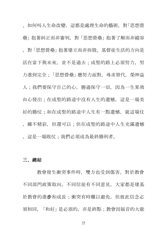、如何叫人生命改變,這都是處理生命的藝術。對「思想營 壘」抱著糾正而非審判,對「思想營壘」抱著了解而非縱容 ,對「思想營壘」抱著建立而非拆毀。基督徒生活的方向是 活在當下與未來,並不是過去;成聖的路上必須努力,努 力進到完全;「思想營壘」應努力面對,尋求替代,榮神益 人;我們要保守自己的心,勝過保守一切,因為一生果效 由心發出;在成聖的路途中沒有人生的遺憾,這是一場美 好的勝仗;如在成聖的路涂中人生有一點遺憾, 就這場仗 ,雖不精彩,但還可以;但在成聖的路途中人生充滿遺憾 ,這是一場敗仗;我們必須成為最終勝利者。

# 三、總結

教會發生衝突事件時,雙方也受到傷害。對於教會 不同部門政策取向,不同信徒有不同意見,大家都是建基 於教會的進步和成長;衝突有時難以避免, 但彼此信念必 須相同,「和好」是必須的,亦是終點;教會因福音的大能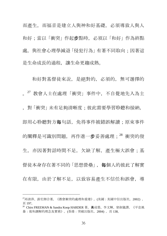而產生,而福音是建立人與神和好基礎,必須導致人與人 和好:當以「衝突」作起步點時,必須以「和好」作為終點 處, 與社會心理學減退「侵犯行為」有著不同取向;因著這 是生命成長的過程,讓生命更趨成熟。

 和好對基督徒來說,是絕對的,必須的,無可選擇的 。<sup>27</sup> 教會人士在處理「衝突」事件中,不自覺地先入為主 ,對「衝突」未有足夠清晰度;彼此需要學習聆聽和接納, 即用心聆聽對方每句話,免得事件被錯誤解讀;原來事件 的闡釋是可識別問題, 再作進一步妥善處理: 28 衝突的發 生,亦因著對話時間不足,欠缺了解,產生極大誤會;基 督徒本身存在著不同的「思想營壘」, 每個人的彼此了解實 在有限,由於了解不足,以致容易產生不信任和誤會,導

<sup>27</sup>邱清萍、游宏湘合著。《教會衝突的處理和重建》。(美國:美國中信出版社,2002) , 頁 197。

<sup>28</sup> Chirs FREEMAN & Sandra Koop HARDER 著。黃成榮、李文輝、曾淑儀譯。《平息風 暴:復和調解的理念及實務》。(香港:突破出版社,2004) ,頁 138。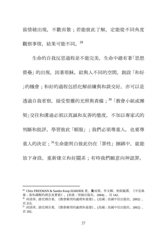致情緒出現,不歡而散;若能彼此了解,定能從不同角度 觀察事情,結果可能不同.  $^{29}$ 

生命的自我反思過程並不能完美,生命中總有著「思想 營壘」的出現,因著耶穌,給與人不同的空間,創設「和好 |的機會;和好的過程包括化解前嫌與和談交好,亦可以是 添溫自我省察,接受聖靈的光照與責備;30「教會小組或團 契」交往和溝通必須以真誠和友善的態度,不加以專家式的 判斷和批評,學習彼此「順服」;我們必須尊重人,也要尊 重人的決定;<sup>31</sup>生命能明白彼此仍在「罪性」捆綁中, 就能 放下身段, 重新建立和好關系; 有時我們願意向神認罪,

 $\overline{a}$ 

<sup>29</sup> Chirs FREEMAN & Sandra Koop HARDER 著。黃成榮、李文輝、曾淑儀譯。《平息風 暴:復和調解的理念及實務》。(香港:突破出版社, 2004), 頁 142。

<sup>30</sup> 邱清萍、游宏湘合著。《教會衝突的處理和重建》。(美國:美國中信出版社,2002) , 頁 213。

<sup>31</sup> 邱清萍、游宏湘合著。《教會衝突的處理和重建》。(美國:美國中信出版社,2002) , 頁 102。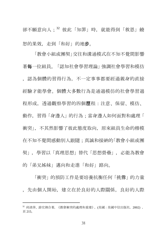卻不願意向人;<sup>32</sup> 彼此「知罪」時,就能得到「救恩」饒 恕的果效,走到「和好」的地步。

「教會小組或團契」交往和溝通模式在不知不覺間影響 著每一位組員。「認知社會學習理論」強調社會學習和模仿 ,認為個體的習得行為,不一定事事都要經過親身的直接 經驗才能學會。個體大多數行為是通過模仿的社會學習過 程形成, 诱渦觀察學習的四個歷程:注意、保留、模仿、 動作,習得「身邊人」的行為:當身邊人如何面對和處理「 衝突」,不其然影響了彼此態度取向,原來組員生命的楷模 在不知不覺間感動別人跟隨;真誠和接納的「教會小組或團 契」,學習以「真理思想」替代「思想營壘」,必能為教會 的「弟兄姊妹」邁向和走進「和好」路向。

「衝突」的預防工作是要培養抗衡任何「挑釁」的力量 ,先由個人開始,建立在於良好的人際關係,良好的人際

<sup>32</sup> 邱清萍、游宏湘合著。《教會衝突的處理和重建》。(美國:美國中信出版社,2002) , 頁 215。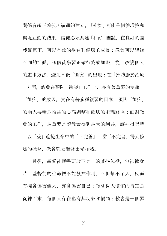關係有賴正確技巧溝通的建立。「衝突」可能是個體環境和 環境互動的結果,信徒必須共建「和好」團體,在良好的團 體氣氛下, 可以有效的學習和健康的成長;教會可以舉辦 不同的活動、讓信徒學習正確行為或知識、從而改變個人 的處事方法, 避免日後「衝突」的出現; 在「預防勝於治療 」方面,教會在預防「衝突」工作上,亦有著重要的使命;

「衝突」的成因,實在有著多種複習的因素,預防「衝突」 的兩大要素是恰當的心態調整和確切的處理路徑;面對教 會的工作,最重要是讓教會得到最大的利益,讓神得榮耀 ;以「愛」遮掩生命中的「不完善」,當「不完善」得到修 建的機會,教會就更能發出光和熱。

最後,基督徒極需要放下身上的某些包袱,包袱纏身 時,基督徒的生命便不能發揮作用,不但幫不了人,反而 有機會傷害他人,亦會傷害自己;教會對人價值的肯定是 從神而來,每個人存在也有其功效和價值;教會是一個罪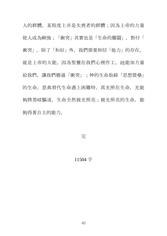人的群體,某程度上亦是失喪者的群體;因為上帝的力量 使人成為剛強;「衝突」其實也是「生命的難關」,對付「 衝突」,除了「和好」外,我們需要相信「他力」的存在, 就是上帝的大能,因為聖靈在我們心裡作工, 祂能加力量 給我們,讓我們勝過「衝突」;神的生命取締「思想營壘」 的生命,恩典替代生命遇上困難時,真光照在生命,光能 夠將黑暗驅逐,生命全然被光照亮;被光照亮的生命,能 夠得著自主的能力。

完

# 11504 字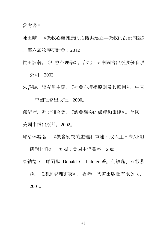#### 參考書目

陳玉麟。《教牧心靈健康的危機與建立—教牧的沉溺問題》 。第六屆牧養研討會:2012。

侯玉波著。《社會心理學》。台北:五南圖書出版股份有限 公司,2003。

朱啟臻、張春明主編。《社會心理學原則及其應用》。中國

:中國社會出版社,2000。

邱清萍、游宏湘合著。《教會衝突的處理和重建》。美國: 美國中信出版社,2002。

邱清萍編著。《教會衝突的處理和重建:成人主日學/小組

研討材料》。美國:美國中信書室,2005。

康納德 C. 帕爾默 Donald C. Palmer 著。何敏璇、石彩燕

譯。《創意處理衝突》。香港:基道出版社有限公司, 2001。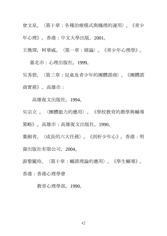曾文星。〈第十章:各種治療模式與機理的運用〉。《青少 年心理》。香港:中文大學出版,2001。

王煥琛,柯華威。〈第一章:緒論〉。《青少年心理學》。

臺北市:心理出版社,1999。

吳秀碧。〈第三章:兒童及青少年的團體諮商〉。《團體諮 商實務》。高雄市:

#### 高雄復文出版社,1994。

吳宗立 。〈團體能力的應用〉。《學校教育的教學與輔導 策略》。高雄市:高雄復文出版社,1990。

葉劍青。〈成長的六大任務〉。《剖析少年心》。香港:明 窗出版社有限公司,2004。

游黎麗玲。〈第十章:輔諮理論的應用〉。《學生輔導》。 香港:香港心理學會

教育心理學部,1990。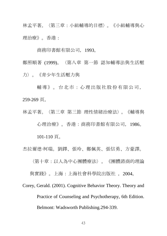林孟平著。〈第三章:小組輔導的目標〉。《小組輔導與心 理治療》。香港:

商務印書館有限公司,1993。

鄭照順著 (1999)。〈第八章 第一節 認知輔導法與生活壓 力〉。《青少年生活壓力與

輔導》。台北市:心理出版社股份有限公司, 259-269 頁。

林孟平著。〈第三章 第三節 理性情緒治療法〉。《輔導與 心理治療》。香港:商務印書館有限公司,1986。

101-110 頁。

杰拉爾德‧柯瑞。劉鐸、張玲、鄭佩英、張信勇、方豪譯。

〈第十章:以人為中心團體療法〉。《團體諮商的理論

與實踐》。上海:上海社會科學院出版社 ,2004。

Corey, Gerald. (2001). Cognitive Behavior Theory. Theory and Practice of Counseling and Psychotherapy, 6th Edition. Belmont: Wadsworth Publishing.294-339.